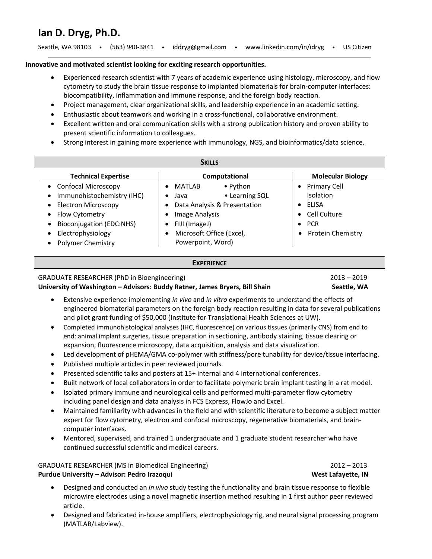# **Ian D. Dryg, Ph.D.**

| Seattle, WA 98103 . |  | (563) 940-3841 |  | iddryg@gmail.com |  | www.linkedin.com/in/idryg |  | <b>US Citizen</b> |
|---------------------|--|----------------|--|------------------|--|---------------------------|--|-------------------|
|---------------------|--|----------------|--|------------------|--|---------------------------|--|-------------------|

### **Innovative and motivated scientist looking for exciting research opportunities.**

- Experienced research scientist with 7 years of academic experience using histology, microscopy, and flow cytometry to study the brain tissue response to implanted biomaterials for brain-computer interfaces: biocompatibility, inflammation and immune response, and the foreign body reaction.
- Project management, clear organizational skills, and leadership experience in an academic setting.
- Enthusiastic about teamwork and working in a cross-functional, collaborative environment.
- Excellent written and oral communication skills with a strong publication history and proven ability to present scientific information to colleagues.
- Strong interest in gaining more experience with immunology, NGS, and bioinformatics/data science.

| <b>SKILLS</b>                           |                                                |                                  |  |  |  |  |  |  |  |  |
|-----------------------------------------|------------------------------------------------|----------------------------------|--|--|--|--|--|--|--|--|
| <b>Technical Expertise</b>              | Computational                                  | <b>Molecular Biology</b>         |  |  |  |  |  |  |  |  |
| • Confocal Microscopy                   | $\bullet$ Python<br><b>MATLAB</b><br>$\bullet$ | <b>Primary Cell</b><br>$\bullet$ |  |  |  |  |  |  |  |  |
| Immunohistochemistry (IHC)<br>$\bullet$ | • Learning SQL<br>Java<br>٠                    | Isolation                        |  |  |  |  |  |  |  |  |
| • Electron Microscopy                   | Data Analysis & Presentation<br>$\bullet$      | ELISA                            |  |  |  |  |  |  |  |  |
| Flow Cytometry<br>$\bullet$             | <b>Image Analysis</b><br>$\bullet$             | • Cell Culture                   |  |  |  |  |  |  |  |  |
| Bioconjugation (EDC:NHS)<br>$\bullet$   | FIJI (ImageJ)<br>$\bullet$                     | <b>PCR</b><br>$\bullet$          |  |  |  |  |  |  |  |  |
| Electrophysiology<br>$\bullet$          | Microsoft Office (Excel,<br>$\bullet$          | <b>Protein Chemistry</b>         |  |  |  |  |  |  |  |  |
| <b>Polymer Chemistry</b><br>$\bullet$   | Powerpoint, Word)                              |                                  |  |  |  |  |  |  |  |  |

#### **EXPERIENCE**

### GRADUATE RESEARCHER (PhD in Bioengineering) 2013 – 2019

University of Washington - Advisors: Buddy Ratner, James Bryers, Bill Shain Seattle, WA

- Extensive experience implementing *in vivo* and *in vitro* experiments to understand the effects of engineered biomaterial parameters on the foreign body reaction resulting in data for several publications and pilot grant funding of \$50,000 (Institute for Translational Health Sciences at UW).
- Completed immunohistological analyses (IHC, fluorescence) on various tissues (primarily CNS) from end to end: animal implant surgeries, tissue preparation in sectioning, antibody staining, tissue clearing or expansion, fluorescence microscopy, data acquisition, analysis and data visualization.
- Led development of pHEMA/GMA co-polymer with stiffness/pore tunability for device/tissue interfacing.
- Published multiple articles in peer reviewed journals.
- Presented scientific talks and posters at 15+ internal and 4 international conferences.
- Built network of local collaborators in order to facilitate polymeric brain implant testing in a rat model.
- Isolated primary immune and neurological cells and performed multi-parameter flow cytometry including panel design and data analysis in FCS Express, FlowJo and Excel.
- Maintained familiarity with advances in the field and with scientific literature to become a subject matter expert for flow cytometry, electron and confocal microscopy, regenerative biomaterials, and braincomputer interfaces.
- Mentored, supervised, and trained 1 undergraduate and 1 graduate student researcher who have continued successful scientific and medical careers.

GRADUATE RESEARCHER (MS in Biomedical Engineering) 2012 – 2013 **Purdue University – Advisor: Pedro Irazoqui West Lafayette, IN** 

- Designed and conducted an *in vivo* study testing the functionality and brain tissue response to flexible microwire electrodes using a novel magnetic insertion method resulting in 1 first author peer reviewed article.
- Designed and fabricated in-house amplifiers, electrophysiology rig, and neural signal processing program (MATLAB/Labview).